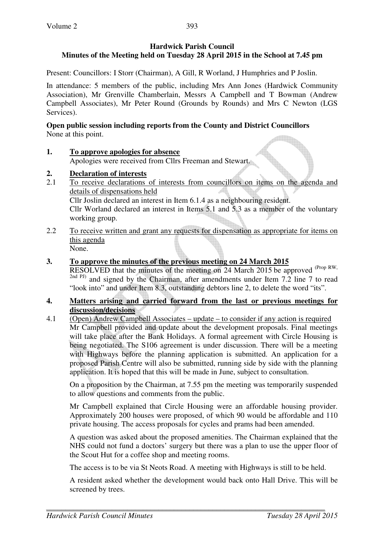# **Hardwick Parish Council Minutes of the Meeting held on Tuesday 28 April 2015 in the School at 7.45 pm**

Present: Councillors: I Storr (Chairman), A Gill, R Worland, J Humphries and P Joslin.

In attendance: 5 members of the public, including Mrs Ann Jones (Hardwick Community Association), Mr Grenville Chamberlain, Messrs A Campbell and T Bowman (Andrew Campbell Associates), Mr Peter Round (Grounds by Rounds) and Mrs C Newton (LGS Services).

### **Open public session including reports from the County and District Councillors**  None at this point.

**1. To approve apologies for absence** Apologies were received from Cllrs Freeman and Stewart.

# **2. Declaration of interests**

- 2.1 To receive declarations of interests from councillors on items on the agenda and details of dispensations held Cllr Joslin declared an interest in Item 6.1.4 as a neighbouring resident. Cllr Worland declared an interest in Items 5.1 and 5.3 as a member of the voluntary working group.
- 2.2 To receive written and grant any requests for dispensation as appropriate for items on this agenda None.

### **3. To approve the minutes of the previous meeting on 24 March 2015**

RESOLVED that the minutes of the meeting on 24 March 2015 be approved (Prop RW, <sup>2nd PJ)</sup> and signed by the Chairman, after amendments under Item 7.2 line 7 to read "look into" and under Item 8.3, outstanding debtors line 2, to delete the word "its".

#### **4. Matters arising and carried forward from the last or previous meetings for discussion/decisions**

4.1 (Open) Andrew Campbell Associates – update – to consider if any action is required Mr Campbell provided and update about the development proposals. Final meetings will take place after the Bank Holidays. A formal agreement with Circle Housing is being negotiated. The S106 agreement is under discussion. There will be a meeting with Highways before the planning application is submitted. An application for a proposed Parish Centre will also be submitted, running side by side with the planning application. It is hoped that this will be made in June, subject to consultation.

On a proposition by the Chairman, at 7.55 pm the meeting was temporarily suspended to allow questions and comments from the public.

Mr Campbell explained that Circle Housing were an affordable housing provider. Approximately 200 houses were proposed, of which 90 would be affordable and 110 private housing. The access proposals for cycles and prams had been amended.

A question was asked about the proposed amenities. The Chairman explained that the NHS could not fund a doctors' surgery but there was a plan to use the upper floor of the Scout Hut for a coffee shop and meeting rooms.

The access is to be via St Neots Road. A meeting with Highways is still to be held.

A resident asked whether the development would back onto Hall Drive. This will be screened by trees.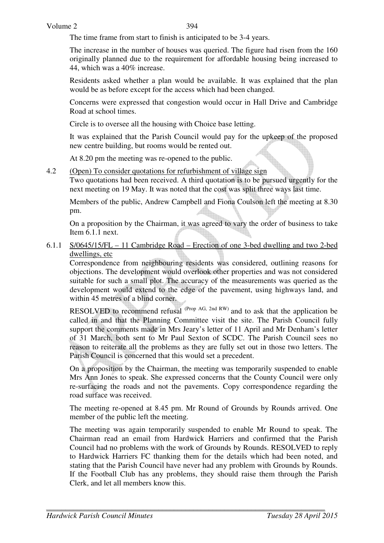The time frame from start to finish is anticipated to be 3-4 years.

The increase in the number of houses was queried. The figure had risen from the 160 originally planned due to the requirement for affordable housing being increased to 44, which was a 40% increase.

Residents asked whether a plan would be available. It was explained that the plan would be as before except for the access which had been changed.

Concerns were expressed that congestion would occur in Hall Drive and Cambridge Road at school times.

Circle is to oversee all the housing with Choice base letting.

It was explained that the Parish Council would pay for the upkeep of the proposed new centre building, but rooms would be rented out.

At 8.20 pm the meeting was re-opened to the public.

4.2 (Open) To consider quotations for refurbishment of village sign

Two quotations had been received. A third quotation is to be pursued urgently for the next meeting on 19 May. It was noted that the cost was split three ways last time.

Members of the public, Andrew Campbell and Fiona Coulson left the meeting at 8.30 pm.

On a proposition by the Chairman, it was agreed to vary the order of business to take Item 6.1.1 next.

#### 6.1.1 S/0645/15/FL – 11 Cambridge Road – Erection of one 3-bed dwelling and two 2-bed dwellings, etc

 Correspondence from neighbouring residents was considered, outlining reasons for objections. The development would overlook other properties and was not considered suitable for such a small plot. The accuracy of the measurements was queried as the development would extend to the edge of the pavement, using highways land, and within 45 metres of a blind corner.

RESOLVED to recommend refusal (Prop AG, 2nd RW) and to ask that the application be called in and that the Planning Committee visit the site. The Parish Council fully support the comments made in Mrs Jeary's letter of 11 April and Mr Denham's letter of 31 March, both sent to Mr Paul Sexton of SCDC. The Parish Council sees no reason to reiterate all the problems as they are fully set out in those two letters. The Parish Council is concerned that this would set a precedent.

On a proposition by the Chairman, the meeting was temporarily suspended to enable Mrs Ann Jones to speak. She expressed concerns that the County Council were only re-surfacing the roads and not the pavements. Copy correspondence regarding the road surface was received.

The meeting re-opened at 8.45 pm. Mr Round of Grounds by Rounds arrived. One member of the public left the meeting.

The meeting was again temporarily suspended to enable Mr Round to speak. The Chairman read an email from Hardwick Harriers and confirmed that the Parish Council had no problems with the work of Grounds by Rounds. RESOLVED to reply to Hardwick Harriers FC thanking them for the details which had been noted, and stating that the Parish Council have never had any problem with Grounds by Rounds. If the Football Club has any problems, they should raise them through the Parish Clerk, and let all members know this.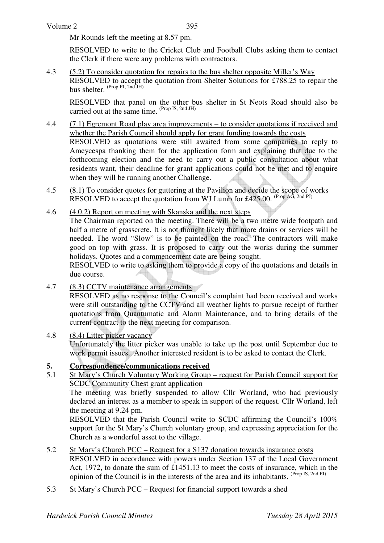Mr Rounds left the meeting at 8.57 pm.

RESOLVED to write to the Cricket Club and Football Clubs asking them to contact the Clerk if there were any problems with contractors.

4.3 (5.2) To consider quotation for repairs to the bus shelter opposite Miller's Way RESOLVED to accept the quotation from Shelter Solutions for £788.25 to repair the bus shelter.  $(\text{Prop PI}, 2nd JH)$ 

RESOLVED that panel on the other bus shelter in St Neots Road should also be carried out at the same time.  $(Prop \text{ IS, 2nd JH})$ 

- 4.4 (7.1) Egremont Road play area improvements to consider quotations if received and whether the Parish Council should apply for grant funding towards the costs RESOLVED as quotations were still awaited from some companies to reply to Ameycespa thanking them for the application form and explaining that due to the forthcoming election and the need to carry out a public consultation about what residents want, their deadline for grant applications could not be met and to enquire when they will be running another Challenge.
- 4.5 (8.1) To consider quotes for guttering at the Pavilion and decide the scope of works RESOLVED to accept the quotation from WJ Lumb for £425.00. (Prop AG, 2nd PJ)
- 4.6 (4.0.2) Report on meeting with Skanska and the next steps

 The Chairman reported on the meeting. There will be a two metre wide footpath and half a metre of grasscrete. It is not thought likely that more drains or services will be needed. The word "Slow" is to be painted on the road. The contractors will make good on top with grass. It is proposed to carry out the works during the summer holidays. Quotes and a commencement date are being sought.

 RESOLVED to write to asking them to provide a copy of the quotations and details in due course.

4.7 (8.3) CCTV maintenance arrangements

 RESOLVED as no response to the Council's complaint had been received and works were still outstanding to the CCTV and all weather lights to pursue receipt of further quotations from Quantumatic and Alarm Maintenance, and to bring details of the current contract to the next meeting for comparison.

4.8 (8.4) Litter picker vacancy

 Unfortunately the litter picker was unable to take up the post until September due to work permit issues.. Another interested resident is to be asked to contact the Clerk.

#### **5. Correspondence/communications received**

5.1 St Mary's Church Voluntary Working Group – request for Parish Council support for SCDC Community Chest grant application

The meeting was briefly suspended to allow Cllr Worland, who had previously declared an interest as a member to speak in support of the request. Cllr Worland, left the meeting at 9.24 pm.

RESOLVED that the Parish Council write to SCDC affirming the Council's 100% support for the St Mary's Church voluntary group, and expressing appreciation for the Church as a wonderful asset to the village.

- 5.2 St Mary's Church PCC Request for a S137 donation towards insurance costs RESOLVED in accordance with powers under Section 137 of the Local Government Act, 1972, to donate the sum of £1451.13 to meet the costs of insurance, which in the opinion of the Council is in the interests of the area and its inhabitants. (Prop IS, 2nd PJ)
- 5.3 St Mary's Church PCC Request for financial support towards a shed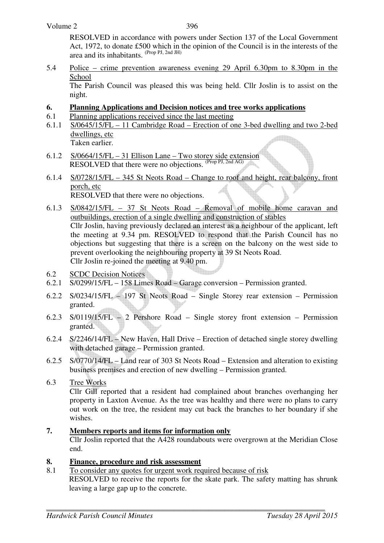RESOLVED in accordance with powers under Section 137 of the Local Government Act, 1972, to donate £500 which in the opinion of the Council is in the interests of the area and its inhabitants.  $(\text{Prop PI}, \text{2nd JH})$ 

5.4 Police – crime prevention awareness evening 29 April 6.30pm to 8.30pm in the School

 The Parish Council was pleased this was being held. Cllr Joslin is to assist on the night.

- **6. Planning Applications and Decision notices and tree works applications**
- 6.1 Planning applications received since the last meeting
- 6.1.1 S/0645/15/FL 11 Cambridge Road Erection of one 3-bed dwelling and two 2-bed dwellings, etc Taken earlier.
- 6.1.2 S/0664/15/FL 31 Ellison Lane Two storey side extension RESOLVED that there were no objections. (Prop PJ, 2nd AG)
- 6.1.4 S/0728/15/FL 345 St Neots Road Change to roof and height, rear balcony, front porch, etc RESOLVED that there were no objections.

- 6.1.3 S/0842/15/FL 37 St Neots Road Removal of mobile home caravan and outbuildings, erection of a single dwelling and construction of stables Cllr Joslin, having previously declared an interest as a neighbour of the applicant, left the meeting at 9.34 pm. RESOLVED to respond that the Parish Council has no objections but suggesting that there is a screen on the balcony on the west side to prevent overlooking the neighbouring property at 39 St Neots Road. Cllr Joslin re-joined the meeting at 9.40 pm.
- 6.2 SCDC Decision Notices
- 6.2.1 S/0299/15/FL 158 Limes Road Garage conversion Permission granted.
- 6.2.2 S/0234/15/FL 197 St Neots Road Single Storey rear extension Permission granted.
- 6.2.3 S/0119/15/FL 2 Pershore Road Single storey front extension Permission granted.
- 6.2.4 S/2246/14/FL New Haven, Hall Drive Erection of detached single storey dwelling with detached garage – Permission granted.
- 6.2.5 S/0770/14/FL Land rear of 303 St Neots Road Extension and alteration to existing business premises and erection of new dwelling – Permission granted.
- 6.3 Tree Works Cllr Gill reported that a resident had complained about branches overhanging her property in Laxton Avenue. As the tree was healthy and there were no plans to carry out work on the tree, the resident may cut back the branches to her boundary if she wishes.

## **7. Members reports and items for information only**

Cllr Joslin reported that the A428 roundabouts were overgrown at the Meridian Close end.

## **8. Finance, procedure and risk assessment**

8.1 To consider any quotes for urgent work required because of risk

 RESOLVED to receive the reports for the skate park. The safety matting has shrunk leaving a large gap up to the concrete.